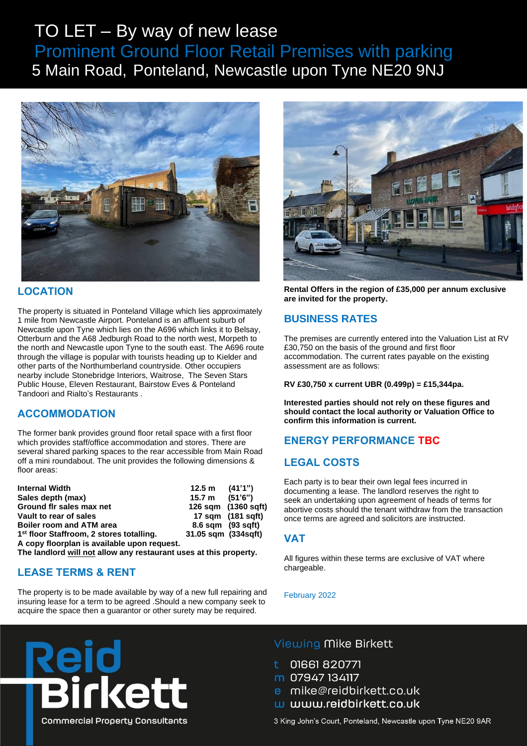# TO LET – By way of new lease Prominent Ground Floor Retail Premises with parking <sup>5</sup> Main Road, Ponteland, Newcastle upon Tyne NE20 9NJ



### **LOCATION**

The property is situated in Ponteland Village which lies approximately 1 mile from Newcastle Airport. Ponteland is an affluent suburb of Newcastle upon Tyne which lies on the A696 which links it to Belsay, Otterburn and the A68 Jedburgh Road to the north west, Morpeth to the north and Newcastle upon Tyne to the south east. The A696 route through the village is popular with tourists heading up to Kielder and other parts of the Northumberland countryside. Other occupiers nearby include Stonebridge Interiors, Waitrose, The Seven Stars Public House, Eleven Restaurant, Bairstow Eves & Ponteland Tandoori and Rialto's Restaurants .

### **ACCOMMODATION**

The former bank provides ground floor retail space with a first floor which provides staff/office accommodation and stores. There are several shared parking spaces to the rear accessible from Main Road off a mini roundabout. The unit provides the following dimensions & floor areas:

| <b>Internal Width</b>                                | $12.5 \text{ m}$ $(41'1'')$ |                     |
|------------------------------------------------------|-----------------------------|---------------------|
| Sales depth (max)                                    | 15.7 m                      | (51'6'')            |
| Ground fir sales max net                             |                             | 126 sqm (1360 sqft) |
| Vault to rear of sales                               |                             | 17 sqm (181 sqft)   |
| <b>Boiler room and ATM area</b>                      | 8.6 sqm (93 sqft)           |                     |
| 1 <sup>st</sup> floor Staffroom, 2 stores totalling. | 31.05 sqm (334 sqft)        |                     |
| A copy floorplan is available upon request.          |                             |                     |

**The landlord will not allow any restaurant uses at this property.**

## **LEASE TERMS & RENT**

The property is to be made available by way of a new full repairing and insuring lease for a term to be agreed .Should a new company seek to acquire the space then a guarantor or other surety may be required.



**Rental Offers in the region of £35,000 per annum exclusive are invited for the property.**

### **BUSINESS RATES**

The premises are currently entered into the Valuation List at RV £30,750 on the basis of the ground and first floor accommodation. The current rates payable on the existing assessment are as follows:

**RV £30,750 x current UBR (0.499p) = £15,344pa.**

**Interested parties should not rely on these figures and should contact the local authority or Valuation Office to confirm this information is current.**

## **ENERGY PERFORMANCE TBC**

### **LEGAL COSTS**

Each party is to bear their own legal fees incurred in documenting a lease. The landlord reserves the right to seek an undertaking upon agreement of heads of terms for abortive costs should the tenant withdraw from the transaction once terms are agreed and solicitors are instructed.

#### **VAT**

All figures within these terms are exclusive of VAT where chargeable.

#### February 2022



### Viewing Mike Birkett

- 01661820771
- m 07947 134117
- e mike@reidbirkett.co.uk
- w www.reidbirkett.co.uk

3 King John's Court, Ponteland, Newcastle upon Tyne NE20 9AR